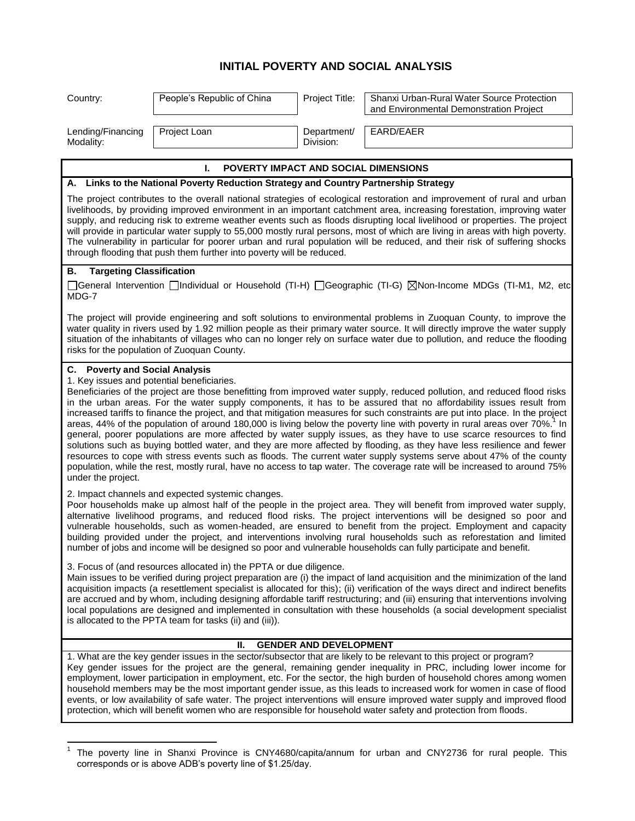## **INITIAL POVERTY AND SOCIAL ANALYSIS**

| Project Loan<br>EARD/EAER<br>Department/<br>Lending/Financing<br>Division:<br>Modality:<br><b>POVERTY IMPACT AND SOCIAL DIMENSIONS</b><br>I.<br>A. Links to the National Poverty Reduction Strategy and Country Partnership Strategy<br>The project contributes to the overall national strategies of ecological restoration and improvement of rural and urban<br>livelihoods, by providing improved environment in an important catchment area, increasing forestation, improving water<br>supply, and reducing risk to extreme weather events such as floods disrupting local livelihood or properties. The project<br>will provide in particular water supply to 55,000 mostly rural persons, most of which are living in areas with high poverty.<br>The vulnerability in particular for poorer urban and rural population will be reduced, and their risk of suffering shocks<br>through flooding that push them further into poverty will be reduced.<br><b>Targeting Classification</b><br>В.<br>□General Intervention □Individual or Household (TI-H) □Geographic (TI-G) ⊠Non-Income MDGs (TI-M1, M2, etc<br>MDG-7<br>The project will provide engineering and soft solutions to environmental problems in Zuoquan County, to improve the<br>water quality in rivers used by 1.92 million people as their primary water source. It will directly improve the water supply<br>situation of the inhabitants of villages who can no longer rely on surface water due to pollution, and reduce the flooding<br>risks for the population of Zuoquan County.<br>C. Poverty and Social Analysis<br>1. Key issues and potential beneficiaries.<br>Beneficiaries of the project are those benefitting from improved water supply, reduced pollution, and reduced flood risks<br>in the urban areas. For the water supply components, it has to be assured that no affordability issues result from<br>increased tariffs to finance the project, and that mitigation measures for such constraints are put into place. In the project<br>areas, 44% of the population of around 180,000 is living below the poverty line with poverty in rural areas over 70%. <sup>1</sup> In<br>general, poorer populations are more affected by water supply issues, as they have to use scarce resources to find<br>solutions such as buying bottled water, and they are more affected by flooding, as they have less resilience and fewer<br>resources to cope with stress events such as floods. The current water supply systems serve about 47% of the county<br>population, while the rest, mostly rural, have no access to tap water. The coverage rate will be increased to around 75%<br>under the project.<br>2. Impact channels and expected systemic changes.<br>Poor households make up almost half of the people in the project area. They will benefit from improved water supply,<br>alternative livelihood programs, and reduced flood risks. The project interventions will be designed so poor and<br>vulnerable households, such as women-headed, are ensured to benefit from the project. Employment and capacity<br>building provided under the project, and interventions involving rural households such as reforestation and limited<br>number of jobs and income will be designed so poor and vulnerable households can fully participate and benefit.<br>3. Focus of (and resources allocated in) the PPTA or due diligence.<br>Main issues to be verified during project preparation are (i) the impact of land acquisition and the minimization of the land<br>acquisition impacts (a resettlement specialist is allocated for this); (ii) verification of the ways direct and indirect benefits<br>are accrued and by whom, including designing affordable tariff restructuring; and (iii) ensuring that interventions involving<br>local populations are designed and implemented in consultation with these households (a social development specialist<br>is allocated to the PPTA team for tasks (ii) and (iii)).<br><b>GENDER AND DEVELOPMENT</b><br>Ш.<br>1. What are the key gender issues in the sector/subsector that are likely to be relevant to this project or program?<br>Key gender issues for the project are the general, remaining gender inequality in PRC, including lower income for<br>employment, lower participation in employment, etc. For the sector, the high burden of household chores among women<br>household members may be the most important gender issue, as this leads to increased work for women in case of flood<br>events, or low availability of safe water. The project interventions will ensure improved water supply and improved flood<br>protection, which will benefit women who are responsible for household water safety and protection from floods. | Country: | People's Republic of China | Project Title: | Shanxi Urban-Rural Water Source Protection<br>and Environmental Demonstration Project |  |
|--------------------------------------------------------------------------------------------------------------------------------------------------------------------------------------------------------------------------------------------------------------------------------------------------------------------------------------------------------------------------------------------------------------------------------------------------------------------------------------------------------------------------------------------------------------------------------------------------------------------------------------------------------------------------------------------------------------------------------------------------------------------------------------------------------------------------------------------------------------------------------------------------------------------------------------------------------------------------------------------------------------------------------------------------------------------------------------------------------------------------------------------------------------------------------------------------------------------------------------------------------------------------------------------------------------------------------------------------------------------------------------------------------------------------------------------------------------------------------------------------------------------------------------------------------------------------------------------------------------------------------------------------------------------------------------------------------------------------------------------------------------------------------------------------------------------------------------------------------------------------------------------------------------------------------------------------------------------------------------------------------------------------------------------------------------------------------------------------------------------------------------------------------------------------------------------------------------------------------------------------------------------------------------------------------------------------------------------------------------------------------------------------------------------------------------------------------------------------------------------------------------------------------------------------------------------------------------------------------------------------------------------------------------------------------------------------------------------------------------------------------------------------------------------------------------------------------------------------------------------------------------------------------------------------------------------------------------------------------------------------------------------------------------------------------------------------------------------------------------------------------------------------------------------------------------------------------------------------------------------------------------------------------------------------------------------------------------------------------------------------------------------------------------------------------------------------------------------------------------------------------------------------------------------------------------------------------------------------------------------------------------------------------------------------------------------------------------------------------------------------------------------------------------------------------------------------------------------------------------------------------------------------------------------------------------------------------------------------------------------------------------------------------------------------------------------------------------------------------------------------------------------------------------------------------------------------------------------------------------------------------------------------------------------------------------------------------------------------------------------------------------------------------------------------------------------------------------------------------------------------------------------------------------------------------------------------------------------------------------------------------------------------------------------------------------------------------------------------------------------------------------------------------------------------------------------------|----------|----------------------------|----------------|---------------------------------------------------------------------------------------|--|
|                                                                                                                                                                                                                                                                                                                                                                                                                                                                                                                                                                                                                                                                                                                                                                                                                                                                                                                                                                                                                                                                                                                                                                                                                                                                                                                                                                                                                                                                                                                                                                                                                                                                                                                                                                                                                                                                                                                                                                                                                                                                                                                                                                                                                                                                                                                                                                                                                                                                                                                                                                                                                                                                                                                                                                                                                                                                                                                                                                                                                                                                                                                                                                                                                                                                                                                                                                                                                                                                                                                                                                                                                                                                                                                                                                                                                                                                                                                                                                                                                                                                                                                                                                                                                                                                                                                                                                                                                                                                                                                                                                                                                                                                                                                                                                                                                          |          |                            |                |                                                                                       |  |
|                                                                                                                                                                                                                                                                                                                                                                                                                                                                                                                                                                                                                                                                                                                                                                                                                                                                                                                                                                                                                                                                                                                                                                                                                                                                                                                                                                                                                                                                                                                                                                                                                                                                                                                                                                                                                                                                                                                                                                                                                                                                                                                                                                                                                                                                                                                                                                                                                                                                                                                                                                                                                                                                                                                                                                                                                                                                                                                                                                                                                                                                                                                                                                                                                                                                                                                                                                                                                                                                                                                                                                                                                                                                                                                                                                                                                                                                                                                                                                                                                                                                                                                                                                                                                                                                                                                                                                                                                                                                                                                                                                                                                                                                                                                                                                                                                          |          |                            |                |                                                                                       |  |
|                                                                                                                                                                                                                                                                                                                                                                                                                                                                                                                                                                                                                                                                                                                                                                                                                                                                                                                                                                                                                                                                                                                                                                                                                                                                                                                                                                                                                                                                                                                                                                                                                                                                                                                                                                                                                                                                                                                                                                                                                                                                                                                                                                                                                                                                                                                                                                                                                                                                                                                                                                                                                                                                                                                                                                                                                                                                                                                                                                                                                                                                                                                                                                                                                                                                                                                                                                                                                                                                                                                                                                                                                                                                                                                                                                                                                                                                                                                                                                                                                                                                                                                                                                                                                                                                                                                                                                                                                                                                                                                                                                                                                                                                                                                                                                                                                          |          |                            |                |                                                                                       |  |
|                                                                                                                                                                                                                                                                                                                                                                                                                                                                                                                                                                                                                                                                                                                                                                                                                                                                                                                                                                                                                                                                                                                                                                                                                                                                                                                                                                                                                                                                                                                                                                                                                                                                                                                                                                                                                                                                                                                                                                                                                                                                                                                                                                                                                                                                                                                                                                                                                                                                                                                                                                                                                                                                                                                                                                                                                                                                                                                                                                                                                                                                                                                                                                                                                                                                                                                                                                                                                                                                                                                                                                                                                                                                                                                                                                                                                                                                                                                                                                                                                                                                                                                                                                                                                                                                                                                                                                                                                                                                                                                                                                                                                                                                                                                                                                                                                          |          |                            |                |                                                                                       |  |
|                                                                                                                                                                                                                                                                                                                                                                                                                                                                                                                                                                                                                                                                                                                                                                                                                                                                                                                                                                                                                                                                                                                                                                                                                                                                                                                                                                                                                                                                                                                                                                                                                                                                                                                                                                                                                                                                                                                                                                                                                                                                                                                                                                                                                                                                                                                                                                                                                                                                                                                                                                                                                                                                                                                                                                                                                                                                                                                                                                                                                                                                                                                                                                                                                                                                                                                                                                                                                                                                                                                                                                                                                                                                                                                                                                                                                                                                                                                                                                                                                                                                                                                                                                                                                                                                                                                                                                                                                                                                                                                                                                                                                                                                                                                                                                                                                          |          |                            |                |                                                                                       |  |
|                                                                                                                                                                                                                                                                                                                                                                                                                                                                                                                                                                                                                                                                                                                                                                                                                                                                                                                                                                                                                                                                                                                                                                                                                                                                                                                                                                                                                                                                                                                                                                                                                                                                                                                                                                                                                                                                                                                                                                                                                                                                                                                                                                                                                                                                                                                                                                                                                                                                                                                                                                                                                                                                                                                                                                                                                                                                                                                                                                                                                                                                                                                                                                                                                                                                                                                                                                                                                                                                                                                                                                                                                                                                                                                                                                                                                                                                                                                                                                                                                                                                                                                                                                                                                                                                                                                                                                                                                                                                                                                                                                                                                                                                                                                                                                                                                          |          |                            |                |                                                                                       |  |
|                                                                                                                                                                                                                                                                                                                                                                                                                                                                                                                                                                                                                                                                                                                                                                                                                                                                                                                                                                                                                                                                                                                                                                                                                                                                                                                                                                                                                                                                                                                                                                                                                                                                                                                                                                                                                                                                                                                                                                                                                                                                                                                                                                                                                                                                                                                                                                                                                                                                                                                                                                                                                                                                                                                                                                                                                                                                                                                                                                                                                                                                                                                                                                                                                                                                                                                                                                                                                                                                                                                                                                                                                                                                                                                                                                                                                                                                                                                                                                                                                                                                                                                                                                                                                                                                                                                                                                                                                                                                                                                                                                                                                                                                                                                                                                                                                          |          |                            |                |                                                                                       |  |
|                                                                                                                                                                                                                                                                                                                                                                                                                                                                                                                                                                                                                                                                                                                                                                                                                                                                                                                                                                                                                                                                                                                                                                                                                                                                                                                                                                                                                                                                                                                                                                                                                                                                                                                                                                                                                                                                                                                                                                                                                                                                                                                                                                                                                                                                                                                                                                                                                                                                                                                                                                                                                                                                                                                                                                                                                                                                                                                                                                                                                                                                                                                                                                                                                                                                                                                                                                                                                                                                                                                                                                                                                                                                                                                                                                                                                                                                                                                                                                                                                                                                                                                                                                                                                                                                                                                                                                                                                                                                                                                                                                                                                                                                                                                                                                                                                          |          |                            |                |                                                                                       |  |
|                                                                                                                                                                                                                                                                                                                                                                                                                                                                                                                                                                                                                                                                                                                                                                                                                                                                                                                                                                                                                                                                                                                                                                                                                                                                                                                                                                                                                                                                                                                                                                                                                                                                                                                                                                                                                                                                                                                                                                                                                                                                                                                                                                                                                                                                                                                                                                                                                                                                                                                                                                                                                                                                                                                                                                                                                                                                                                                                                                                                                                                                                                                                                                                                                                                                                                                                                                                                                                                                                                                                                                                                                                                                                                                                                                                                                                                                                                                                                                                                                                                                                                                                                                                                                                                                                                                                                                                                                                                                                                                                                                                                                                                                                                                                                                                                                          |          |                            |                |                                                                                       |  |
|                                                                                                                                                                                                                                                                                                                                                                                                                                                                                                                                                                                                                                                                                                                                                                                                                                                                                                                                                                                                                                                                                                                                                                                                                                                                                                                                                                                                                                                                                                                                                                                                                                                                                                                                                                                                                                                                                                                                                                                                                                                                                                                                                                                                                                                                                                                                                                                                                                                                                                                                                                                                                                                                                                                                                                                                                                                                                                                                                                                                                                                                                                                                                                                                                                                                                                                                                                                                                                                                                                                                                                                                                                                                                                                                                                                                                                                                                                                                                                                                                                                                                                                                                                                                                                                                                                                                                                                                                                                                                                                                                                                                                                                                                                                                                                                                                          |          |                            |                |                                                                                       |  |

 1 The poverty line in Shanxi Province is CNY4680/capita/annum for urban and CNY2736 for rural people. This corresponds or is above ADB's poverty line of \$1.25/day.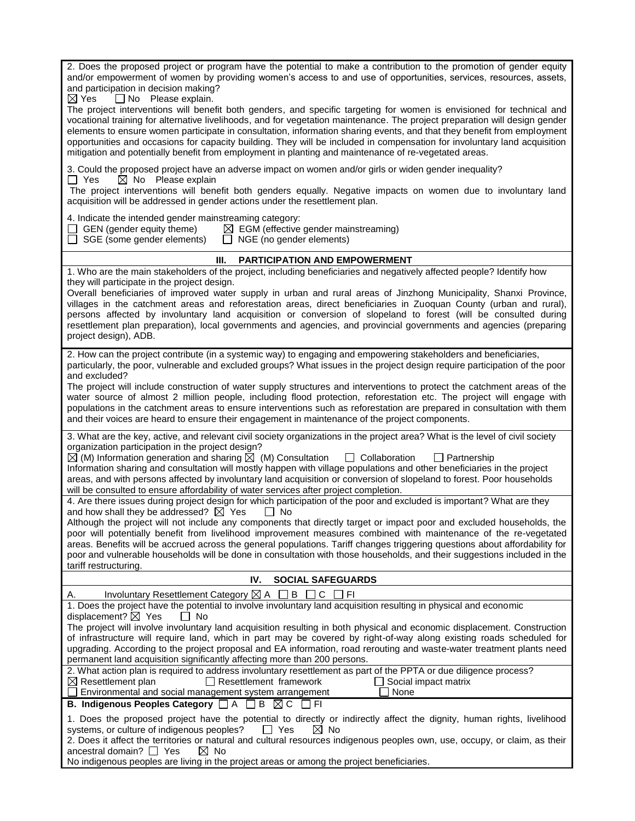| and/or empowerment of women by providing women's access to and use of opportunities, services, resources, assets,<br>and participation in decision making?<br>$\Box$ No Please explain.<br>$\boxtimes$ Yes<br>The project interventions will benefit both genders, and specific targeting for women is envisioned for technical and<br>vocational training for alternative livelihoods, and for vegetation maintenance. The project preparation will design gender<br>elements to ensure women participate in consultation, information sharing events, and that they benefit from employment<br>opportunities and occasions for capacity building. They will be included in compensation for involuntary land acquisition<br>mitigation and potentially benefit from employment in planting and maintenance of re-vegetated areas.<br>3. Could the proposed project have an adverse impact on women and/or girls or widen gender inequality?<br>$\boxtimes$ No Please explain<br>$\Box$ Yes<br>The project interventions will benefit both genders equally. Negative impacts on women due to involuntary land<br>acquisition will be addressed in gender actions under the resettlement plan.<br>4. Indicate the intended gender mainstreaming category:<br>$\Box$ GEN (gender equity theme)<br>$\boxtimes$ EGM (effective gender mainstreaming)<br>$\Box$ SGE (some gender elements)<br>$\Box$ NGE (no gender elements)<br><b>PARTICIPATION AND EMPOWERMENT</b><br>Ш.<br>1. Who are the main stakeholders of the project, including beneficiaries and negatively affected people? Identify how<br>they will participate in the project design.<br>Overall beneficiaries of improved water supply in urban and rural areas of Jinzhong Municipality, Shanxi Province,<br>villages in the catchment areas and reforestation areas, direct beneficiaries in Zuoquan County (urban and rural),<br>persons affected by involuntary land acquisition or conversion of slopeland to forest (will be consulted during<br>resettlement plan preparation), local governments and agencies, and provincial governments and agencies (preparing<br>project design), ADB.<br>2. How can the project contribute (in a systemic way) to engaging and empowering stakeholders and beneficiaries,<br>particularly, the poor, vulnerable and excluded groups? What issues in the project design require participation of the poor |  |  |  |
|-------------------------------------------------------------------------------------------------------------------------------------------------------------------------------------------------------------------------------------------------------------------------------------------------------------------------------------------------------------------------------------------------------------------------------------------------------------------------------------------------------------------------------------------------------------------------------------------------------------------------------------------------------------------------------------------------------------------------------------------------------------------------------------------------------------------------------------------------------------------------------------------------------------------------------------------------------------------------------------------------------------------------------------------------------------------------------------------------------------------------------------------------------------------------------------------------------------------------------------------------------------------------------------------------------------------------------------------------------------------------------------------------------------------------------------------------------------------------------------------------------------------------------------------------------------------------------------------------------------------------------------------------------------------------------------------------------------------------------------------------------------------------------------------------------------------------------------------------------------------------------------------------------------------------------------------------------------------------------------------------------------------------------------------------------------------------------------------------------------------------------------------------------------------------------------------------------------------------------------------------------------------------------------------------------------------------------------------------------------------------------------------------------------------|--|--|--|
|                                                                                                                                                                                                                                                                                                                                                                                                                                                                                                                                                                                                                                                                                                                                                                                                                                                                                                                                                                                                                                                                                                                                                                                                                                                                                                                                                                                                                                                                                                                                                                                                                                                                                                                                                                                                                                                                                                                                                                                                                                                                                                                                                                                                                                                                                                                                                                                                                   |  |  |  |
|                                                                                                                                                                                                                                                                                                                                                                                                                                                                                                                                                                                                                                                                                                                                                                                                                                                                                                                                                                                                                                                                                                                                                                                                                                                                                                                                                                                                                                                                                                                                                                                                                                                                                                                                                                                                                                                                                                                                                                                                                                                                                                                                                                                                                                                                                                                                                                                                                   |  |  |  |
|                                                                                                                                                                                                                                                                                                                                                                                                                                                                                                                                                                                                                                                                                                                                                                                                                                                                                                                                                                                                                                                                                                                                                                                                                                                                                                                                                                                                                                                                                                                                                                                                                                                                                                                                                                                                                                                                                                                                                                                                                                                                                                                                                                                                                                                                                                                                                                                                                   |  |  |  |
|                                                                                                                                                                                                                                                                                                                                                                                                                                                                                                                                                                                                                                                                                                                                                                                                                                                                                                                                                                                                                                                                                                                                                                                                                                                                                                                                                                                                                                                                                                                                                                                                                                                                                                                                                                                                                                                                                                                                                                                                                                                                                                                                                                                                                                                                                                                                                                                                                   |  |  |  |
|                                                                                                                                                                                                                                                                                                                                                                                                                                                                                                                                                                                                                                                                                                                                                                                                                                                                                                                                                                                                                                                                                                                                                                                                                                                                                                                                                                                                                                                                                                                                                                                                                                                                                                                                                                                                                                                                                                                                                                                                                                                                                                                                                                                                                                                                                                                                                                                                                   |  |  |  |
|                                                                                                                                                                                                                                                                                                                                                                                                                                                                                                                                                                                                                                                                                                                                                                                                                                                                                                                                                                                                                                                                                                                                                                                                                                                                                                                                                                                                                                                                                                                                                                                                                                                                                                                                                                                                                                                                                                                                                                                                                                                                                                                                                                                                                                                                                                                                                                                                                   |  |  |  |
|                                                                                                                                                                                                                                                                                                                                                                                                                                                                                                                                                                                                                                                                                                                                                                                                                                                                                                                                                                                                                                                                                                                                                                                                                                                                                                                                                                                                                                                                                                                                                                                                                                                                                                                                                                                                                                                                                                                                                                                                                                                                                                                                                                                                                                                                                                                                                                                                                   |  |  |  |
|                                                                                                                                                                                                                                                                                                                                                                                                                                                                                                                                                                                                                                                                                                                                                                                                                                                                                                                                                                                                                                                                                                                                                                                                                                                                                                                                                                                                                                                                                                                                                                                                                                                                                                                                                                                                                                                                                                                                                                                                                                                                                                                                                                                                                                                                                                                                                                                                                   |  |  |  |
| and excluded?                                                                                                                                                                                                                                                                                                                                                                                                                                                                                                                                                                                                                                                                                                                                                                                                                                                                                                                                                                                                                                                                                                                                                                                                                                                                                                                                                                                                                                                                                                                                                                                                                                                                                                                                                                                                                                                                                                                                                                                                                                                                                                                                                                                                                                                                                                                                                                                                     |  |  |  |
| The project will include construction of water supply structures and interventions to protect the catchment areas of the                                                                                                                                                                                                                                                                                                                                                                                                                                                                                                                                                                                                                                                                                                                                                                                                                                                                                                                                                                                                                                                                                                                                                                                                                                                                                                                                                                                                                                                                                                                                                                                                                                                                                                                                                                                                                                                                                                                                                                                                                                                                                                                                                                                                                                                                                          |  |  |  |
| water source of almost 2 million people, including flood protection, reforestation etc. The project will engage with<br>populations in the catchment areas to ensure interventions such as reforestation are prepared in consultation with them<br>and their voices are heard to ensure their engagement in maintenance of the project components.                                                                                                                                                                                                                                                                                                                                                                                                                                                                                                                                                                                                                                                                                                                                                                                                                                                                                                                                                                                                                                                                                                                                                                                                                                                                                                                                                                                                                                                                                                                                                                                                                                                                                                                                                                                                                                                                                                                                                                                                                                                                |  |  |  |
| 3. What are the key, active, and relevant civil society organizations in the project area? What is the level of civil society                                                                                                                                                                                                                                                                                                                                                                                                                                                                                                                                                                                                                                                                                                                                                                                                                                                                                                                                                                                                                                                                                                                                                                                                                                                                                                                                                                                                                                                                                                                                                                                                                                                                                                                                                                                                                                                                                                                                                                                                                                                                                                                                                                                                                                                                                     |  |  |  |
| organization participation in the project design?<br>$\boxtimes$ (M) Information generation and sharing $\boxtimes$ (M) Consultation $\Box$ Collaboration<br>$\Box$ Partnership                                                                                                                                                                                                                                                                                                                                                                                                                                                                                                                                                                                                                                                                                                                                                                                                                                                                                                                                                                                                                                                                                                                                                                                                                                                                                                                                                                                                                                                                                                                                                                                                                                                                                                                                                                                                                                                                                                                                                                                                                                                                                                                                                                                                                                   |  |  |  |
| Information sharing and consultation will mostly happen with village populations and other beneficiaries in the project                                                                                                                                                                                                                                                                                                                                                                                                                                                                                                                                                                                                                                                                                                                                                                                                                                                                                                                                                                                                                                                                                                                                                                                                                                                                                                                                                                                                                                                                                                                                                                                                                                                                                                                                                                                                                                                                                                                                                                                                                                                                                                                                                                                                                                                                                           |  |  |  |
| areas, and with persons affected by involuntary land acquisition or conversion of slopeland to forest. Poor households<br>will be consulted to ensure affordability of water services after project completion.                                                                                                                                                                                                                                                                                                                                                                                                                                                                                                                                                                                                                                                                                                                                                                                                                                                                                                                                                                                                                                                                                                                                                                                                                                                                                                                                                                                                                                                                                                                                                                                                                                                                                                                                                                                                                                                                                                                                                                                                                                                                                                                                                                                                   |  |  |  |
| 4. Are there issues during project design for which participation of the poor and excluded is important? What are they                                                                                                                                                                                                                                                                                                                                                                                                                                                                                                                                                                                                                                                                                                                                                                                                                                                                                                                                                                                                                                                                                                                                                                                                                                                                                                                                                                                                                                                                                                                                                                                                                                                                                                                                                                                                                                                                                                                                                                                                                                                                                                                                                                                                                                                                                            |  |  |  |
| and how shall they be addressed? $\boxtimes$ Yes<br>$\Box$ No                                                                                                                                                                                                                                                                                                                                                                                                                                                                                                                                                                                                                                                                                                                                                                                                                                                                                                                                                                                                                                                                                                                                                                                                                                                                                                                                                                                                                                                                                                                                                                                                                                                                                                                                                                                                                                                                                                                                                                                                                                                                                                                                                                                                                                                                                                                                                     |  |  |  |
| Although the project will not include any components that directly target or impact poor and excluded households, the<br>poor will potentially benefit from livelihood improvement measures combined with maintenance of the re-vegetated                                                                                                                                                                                                                                                                                                                                                                                                                                                                                                                                                                                                                                                                                                                                                                                                                                                                                                                                                                                                                                                                                                                                                                                                                                                                                                                                                                                                                                                                                                                                                                                                                                                                                                                                                                                                                                                                                                                                                                                                                                                                                                                                                                         |  |  |  |
| areas. Benefits will be accrued across the general populations. Tariff changes triggering questions about affordability for                                                                                                                                                                                                                                                                                                                                                                                                                                                                                                                                                                                                                                                                                                                                                                                                                                                                                                                                                                                                                                                                                                                                                                                                                                                                                                                                                                                                                                                                                                                                                                                                                                                                                                                                                                                                                                                                                                                                                                                                                                                                                                                                                                                                                                                                                       |  |  |  |
| poor and vulnerable households will be done in consultation with those households, and their suggestions included in the<br>tariff restructuring.                                                                                                                                                                                                                                                                                                                                                                                                                                                                                                                                                                                                                                                                                                                                                                                                                                                                                                                                                                                                                                                                                                                                                                                                                                                                                                                                                                                                                                                                                                                                                                                                                                                                                                                                                                                                                                                                                                                                                                                                                                                                                                                                                                                                                                                                 |  |  |  |
| IV.<br><b>SOCIAL SAFEGUARDS</b>                                                                                                                                                                                                                                                                                                                                                                                                                                                                                                                                                                                                                                                                                                                                                                                                                                                                                                                                                                                                                                                                                                                                                                                                                                                                                                                                                                                                                                                                                                                                                                                                                                                                                                                                                                                                                                                                                                                                                                                                                                                                                                                                                                                                                                                                                                                                                                                   |  |  |  |
| Involuntary Resettlement Category $\boxtimes$ A $\Box$ B $\Box$ C<br>Α.<br>□ FI                                                                                                                                                                                                                                                                                                                                                                                                                                                                                                                                                                                                                                                                                                                                                                                                                                                                                                                                                                                                                                                                                                                                                                                                                                                                                                                                                                                                                                                                                                                                                                                                                                                                                                                                                                                                                                                                                                                                                                                                                                                                                                                                                                                                                                                                                                                                   |  |  |  |
| 1. Does the project have the potential to involve involuntary land acquisition resulting in physical and economic                                                                                                                                                                                                                                                                                                                                                                                                                                                                                                                                                                                                                                                                                                                                                                                                                                                                                                                                                                                                                                                                                                                                                                                                                                                                                                                                                                                                                                                                                                                                                                                                                                                                                                                                                                                                                                                                                                                                                                                                                                                                                                                                                                                                                                                                                                 |  |  |  |
| displacement? $\boxtimes$ Yes<br>l No                                                                                                                                                                                                                                                                                                                                                                                                                                                                                                                                                                                                                                                                                                                                                                                                                                                                                                                                                                                                                                                                                                                                                                                                                                                                                                                                                                                                                                                                                                                                                                                                                                                                                                                                                                                                                                                                                                                                                                                                                                                                                                                                                                                                                                                                                                                                                                             |  |  |  |
| The project will involve involuntary land acquisition resulting in both physical and economic displacement. Construction<br>of infrastructure will require land, which in part may be covered by right-of-way along existing roads scheduled for                                                                                                                                                                                                                                                                                                                                                                                                                                                                                                                                                                                                                                                                                                                                                                                                                                                                                                                                                                                                                                                                                                                                                                                                                                                                                                                                                                                                                                                                                                                                                                                                                                                                                                                                                                                                                                                                                                                                                                                                                                                                                                                                                                  |  |  |  |
| upgrading. According to the project proposal and EA information, road rerouting and waste-water treatment plants need                                                                                                                                                                                                                                                                                                                                                                                                                                                                                                                                                                                                                                                                                                                                                                                                                                                                                                                                                                                                                                                                                                                                                                                                                                                                                                                                                                                                                                                                                                                                                                                                                                                                                                                                                                                                                                                                                                                                                                                                                                                                                                                                                                                                                                                                                             |  |  |  |
| permanent land acquisition significantly affecting more than 200 persons.<br>2. What action plan is required to address involuntary resettlement as part of the PPTA or due diligence process?                                                                                                                                                                                                                                                                                                                                                                                                                                                                                                                                                                                                                                                                                                                                                                                                                                                                                                                                                                                                                                                                                                                                                                                                                                                                                                                                                                                                                                                                                                                                                                                                                                                                                                                                                                                                                                                                                                                                                                                                                                                                                                                                                                                                                    |  |  |  |
| $\boxtimes$ Resettlement plan<br>$\Box$ Resettlement framework<br>Social impact matrix                                                                                                                                                                                                                                                                                                                                                                                                                                                                                                                                                                                                                                                                                                                                                                                                                                                                                                                                                                                                                                                                                                                                                                                                                                                                                                                                                                                                                                                                                                                                                                                                                                                                                                                                                                                                                                                                                                                                                                                                                                                                                                                                                                                                                                                                                                                            |  |  |  |
| None<br>Environmental and social management system arrangement<br>B. Indigenous Peoples Category $\Box A \Box B \boxtimes C \Box F1$                                                                                                                                                                                                                                                                                                                                                                                                                                                                                                                                                                                                                                                                                                                                                                                                                                                                                                                                                                                                                                                                                                                                                                                                                                                                                                                                                                                                                                                                                                                                                                                                                                                                                                                                                                                                                                                                                                                                                                                                                                                                                                                                                                                                                                                                              |  |  |  |
| 1. Does the proposed project have the potential to directly or indirectly affect the dignity, human rights, livelihood                                                                                                                                                                                                                                                                                                                                                                                                                                                                                                                                                                                                                                                                                                                                                                                                                                                                                                                                                                                                                                                                                                                                                                                                                                                                                                                                                                                                                                                                                                                                                                                                                                                                                                                                                                                                                                                                                                                                                                                                                                                                                                                                                                                                                                                                                            |  |  |  |
| $\boxtimes$ No<br>systems, or culture of indigenous peoples?<br>$\Box$ Yes                                                                                                                                                                                                                                                                                                                                                                                                                                                                                                                                                                                                                                                                                                                                                                                                                                                                                                                                                                                                                                                                                                                                                                                                                                                                                                                                                                                                                                                                                                                                                                                                                                                                                                                                                                                                                                                                                                                                                                                                                                                                                                                                                                                                                                                                                                                                        |  |  |  |
| 2. Does it affect the territories or natural and cultural resources indigenous peoples own, use, occupy, or claim, as their                                                                                                                                                                                                                                                                                                                                                                                                                                                                                                                                                                                                                                                                                                                                                                                                                                                                                                                                                                                                                                                                                                                                                                                                                                                                                                                                                                                                                                                                                                                                                                                                                                                                                                                                                                                                                                                                                                                                                                                                                                                                                                                                                                                                                                                                                       |  |  |  |
| ancestral domain? $\Box$ Yes<br>$\boxtimes$ No<br>No indigenous peoples are living in the project areas or among the project beneficiaries.                                                                                                                                                                                                                                                                                                                                                                                                                                                                                                                                                                                                                                                                                                                                                                                                                                                                                                                                                                                                                                                                                                                                                                                                                                                                                                                                                                                                                                                                                                                                                                                                                                                                                                                                                                                                                                                                                                                                                                                                                                                                                                                                                                                                                                                                       |  |  |  |